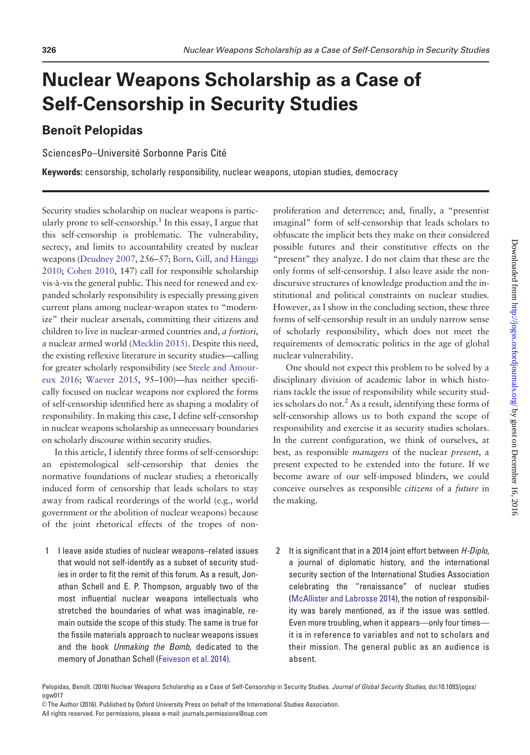# Nuclear Weapons Scholarship as a Case of Self-Censorship in Security Studies

# **Benoît Pelopidas**

SciencesPo-Université Sorbonne Paris Cité

Keywords: censorship, scholarly responsibility, nuclear weapons, utopian studies, democracy

Security studies scholarship on nuclear weapons is particularly prone to self-censorship.<sup>1</sup> In this essay, I argue that this self-censorship is problematic. The vulnerability, secrecy, and limits to accountability created by nuclear weapons [\(Deudney 2007,](#page-8-0) 256–57; [Born, Gill, and H](#page-8-0)â[nggi](#page-8-0) [2010;](#page-8-0) [Cohen 2010,](#page-8-0) 147) call for responsible scholarship vis-à-vis the general public. This need for renewed and expanded scholarly responsibility is especially pressing given current plans among nuclear-weapon states to "modernize" their nuclear arsenals, committing their citizens and children to live in nuclear-armed countries and, a fortiori, a nuclear armed world ([Mecklin 2015](#page-9-0)). Despite this need, the existing reflexive literature in security studies—calling for greater scholarly responsibility (see [Steele and Amour](#page-9-0)[eux 2016](#page-9-0); [Waever 2015](#page-9-0), 95–100)—has neither specifically focused on nuclear weapons nor explored the forms of self-censorship identified here as shaping a modality of responsibility. In making this case, I define self-censorship in nuclear weapons scholarship as unnecessary boundaries on scholarly discourse within security studies.

In this article, I identify three forms of self-censorship: an epistemological self-censorship that denies the normative foundations of nuclear studies; a rhetorically induced form of censorship that leads scholars to stay away from radical reorderings of the world (e.g., world government or the abolition of nuclear weapons) because of the joint rhetorical effects of the tropes of non-

1 I leave aside studies of nuclear weapons–related issues that would not self-identify as a subset of security studies in order to fit the remit of this forum. As a result, Jonathan Schell and E. P. Thompson, arguably two of the most influential nuclear weapons intellectuals who stretched the boundaries of what was imaginable, remain outside the scope of this study. The same is true for the fissile materials approach to nuclear weapons issues and the book Unmaking the Bomb, dedicated to the memory of Jonathan Schell [\(Feiveson et al. 2014\)](#page-8-0).

proliferation and deterrence; and, finally, a "presentist imaginal" form of self-censorship that leads scholars to obfuscate the implicit bets they make on their considered possible futures and their constitutive effects on the "present" they analyze. I do not claim that these are the only forms of self-censorship. I also leave aside the nondiscursive structures of knowledge production and the institutional and political constraints on nuclear studies. However, as I show in the concluding section, these three forms of self-censorship result in an unduly narrow sense of scholarly responsibility, which does not meet the requirements of democratic politics in the age of global nuclear vulnerability.

One should not expect this problem to be solved by a disciplinary division of academic labor in which historians tackle the issue of responsibility while security studies scholars do not.<sup>2</sup> As a result, identifying these forms of self-censorship allows us to both expand the scope of responsibility and exercise it as security studies scholars. In the current configuration, we think of ourselves, at best, as responsible managers of the nuclear present, a present expected to be extended into the future. If we become aware of our self-imposed blinders, we could conceive ourselves as responsible citizens of a future in the making.

2 It is significant that in a 2014 joint effort between H-Diplo, a journal of diplomatic history, and the international security section of the International Studies Association celebrating the "renaissance" of nuclear studies ([McAllister and Labrosse 2014\)](#page-8-0), the notion of responsibility was barely mentioned, as if the issue was settled. Even more troubling, when it appears—only four times it is in reference to variables and not to scholars and their mission. The general public as an audience is absent.

Pelopidas, Benoît. (2016) Nuclear Weapons Scholarship as a Case of Self-Censorship in Security Studies. Journal of Global Security Studies, doi:10.1093/jogss/ ogw017

<sup>©</sup> The Author (2016). Published by Oxford University Press on behalf of the International Studies Association.

All rights reserved. For permissions, please e-mail: journals.permissions@oup.com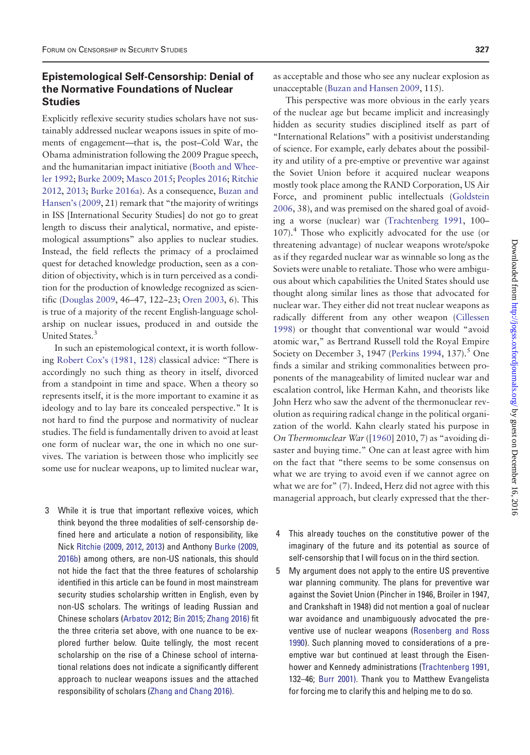## Epistemological Self-Censorship: Denial of the Normative Foundations of Nuclear **Studies**

Explicitly reflexive security studies scholars have not sustainably addressed nuclear weapons issues in spite of moments of engagement—that is, the post–Cold War, the Obama administration following the 2009 Prague speech, and the humanitarian impact initiative [\(Booth and Whee](#page-7-0)[ler 1992;](#page-7-0) [Burke 2009;](#page-8-0) [Masco 2015;](#page-8-0) [Peoples 2016](#page-9-0); [Ritchie](#page-9-0) [2012,](#page-9-0) [2013;](#page-9-0) [Burke 2016a\)](#page-8-0). As a consequence, [Buzan and](#page-8-0) [Hansen's \(2009](#page-8-0), 21) remark that "the majority of writings in ISS [International Security Studies] do not go to great length to discuss their analytical, normative, and epistemological assumptions" also applies to nuclear studies. Instead, the field reflects the primacy of a proclaimed quest for detached knowledge production, seen as a condition of objectivity, which is in turn perceived as a condition for the production of knowledge recognized as scientific [\(Douglas 2009,](#page-8-0) 46–47, 122–23; [Oren 2003](#page-9-0), 6). This is true of a majority of the recent English-language scholarship on nuclear issues, produced in and outside the United States.<sup>3</sup>

In such an epistemological context, it is worth following [Robert Cox's \(1981, 128\)](#page-8-0) classical advice: "There is accordingly no such thing as theory in itself, divorced from a standpoint in time and space. When a theory so represents itself, it is the more important to examine it as ideology and to lay bare its concealed perspective." It is not hard to find the purpose and normativity of nuclear studies. The field is fundamentally driven to avoid at least one form of nuclear war, the one in which no one survives. The variation is between those who implicitly see some use for nuclear weapons, up to limited nuclear war,

3 While it is true that important reflexive voices, which think beyond the three modalities of self-censorship defined here and articulate a notion of responsibility, like Nick [Ritchie \(2009,](#page-9-0) [2012](#page-9-0), [2013](#page-9-0)) and Anthony [Burke \(2009](#page-8-0), [2016b](#page-8-0)) among others, are non-US nationals, this should not hide the fact that the three features of scholarship identified in this article can be found in most mainstream security studies scholarship written in English, even by non-US scholars. The writings of leading Russian and Chinese scholars ([Arbatov 2012](#page-7-0); [Bin 2015](#page-7-0); [Zhang 2016\)](#page-10-0) fit the three criteria set above, with one nuance to be explored further below. Quite tellingly, the most recent scholarship on the rise of a Chinese school of international relations does not indicate a significantly different approach to nuclear weapons issues and the attached responsibility of scholars [\(Zhang and Chang 2016\)](#page-10-0).

as acceptable and those who see any nuclear explosion as unacceptable [\(Buzan and Hansen 2009,](#page-8-0) 115).

This perspective was more obvious in the early years of the nuclear age but became implicit and increasingly hidden as security studies disciplined itself as part of "International Relations" with a positivist understanding of science. For example, early debates about the possibility and utility of a pre-emptive or preventive war against the Soviet Union before it acquired nuclear weapons mostly took place among the RAND Corporation, US Air Force, and prominent public intellectuals [\(Goldstein](#page-8-0) [2006,](#page-8-0) 38), and was premised on the shared goal of avoiding a worse (nuclear) war [\(Trachtenberg 1991](#page-9-0), 100–  $107$ ).<sup>4</sup> Those who explicitly advocated for the use (or threatening advantage) of nuclear weapons wrote/spoke as if they regarded nuclear war as winnable so long as the Soviets were unable to retaliate. Those who were ambiguous about which capabilities the United States should use thought along similar lines as those that advocated for nuclear war. They either did not treat nuclear weapons as radically different from any other weapon [\(Cillessen](#page-8-0) [1998\)](#page-8-0) or thought that conventional war would "avoid atomic war," as Bertrand Russell told the Royal Empire Society on December 3, 1947 ([Perkins 1994,](#page-9-0) 137).<sup>5</sup> One finds a similar and striking commonalities between proponents of the manageability of limited nuclear war and escalation control, like Herman Kahn, and theorists like John Herz who saw the advent of the thermonuclear revolution as requiring radical change in the political organization of the world. Kahn clearly stated his purpose in On Thermonuclear War ([\[1960\]](#page-8-0) 2010, 7) as "avoiding disaster and buying time." One can at least agree with him on the fact that "there seems to be some consensus on what we are trying to avoid even if we cannot agree on what we are for" (7). Indeed, Herz did not agree with this managerial approach, but clearly expressed that the ther-

- 4 This already touches on the constitutive power of the imaginary of the future and its potential as source of self-censorship that I will focus on in the third section.
- 5 My argument does not apply to the entire US preventive war planning community. The plans for preventive war against the Soviet Union (Pincher in 1946, Broiler in 1947, and Crankshaft in 1948) did not mention a goal of nuclear war avoidance and unambiguously advocated the preventive use of nuclear weapons [\(Rosenberg and Ross](#page-9-0) [1990](#page-9-0)). Such planning moved to considerations of a preemptive war but continued at least through the Eisenhower and Kennedy administrations ([Trachtenberg 1991](#page-9-0), 132–46; [Burr 2001\)](#page-8-0). Thank you to Matthew Evangelista for forcing me to clarify this and helping me to do so.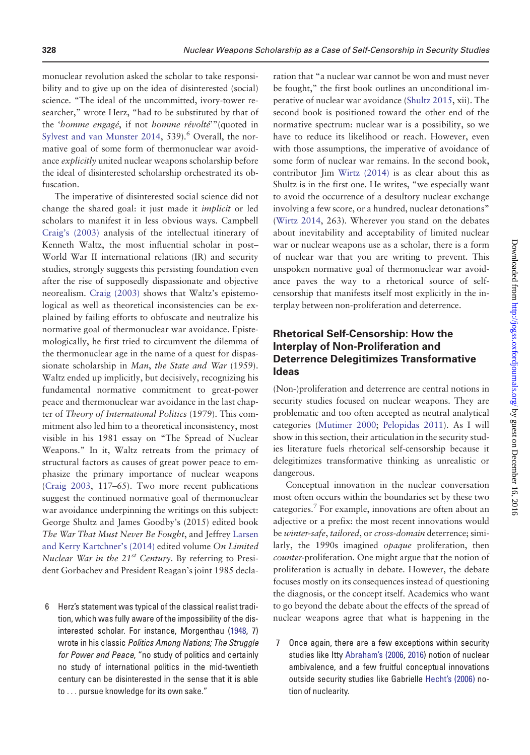monuclear revolution asked the scholar to take responsibility and to give up on the idea of disinterested (social) science. "The ideal of the uncommitted, ivory-tower researcher," wrote Herz, "had to be substituted by that of the 'homme engagé, if not homme révolté'"(quoted in [Sylvest and van Munster 2014](#page-9-0), 539 $.6$  Overall, the normative goal of some form of thermonuclear war avoidance *explicitly* united nuclear weapons scholarship before the ideal of disinterested scholarship orchestrated its obfuscation.

The imperative of disinterested social science did not change the shared goal: it just made it implicit or led scholars to manifest it in less obvious ways. Campbell [Craig's \(2003\)](#page-8-0) analysis of the intellectual itinerary of Kenneth Waltz, the most influential scholar in post– World War II international relations (IR) and security studies, strongly suggests this persisting foundation even after the rise of supposedly dispassionate and objective neorealism. [Craig \(2003\)](#page-8-0) shows that Waltz's epistemological as well as theoretical inconsistencies can be explained by failing efforts to obfuscate and neutralize his normative goal of thermonuclear war avoidance. Epistemologically, he first tried to circumvent the dilemma of the thermonuclear age in the name of a quest for dispassionate scholarship in Man, the State and War (1959). Waltz ended up implicitly, but decisively, recognizing his fundamental normative commitment to great-power peace and thermonuclear war avoidance in the last chapter of Theory of International Politics (1979). This commitment also led him to a theoretical inconsistency, most visible in his 1981 essay on "The Spread of Nuclear Weapons." In it, Waltz retreats from the primacy of structural factors as causes of great power peace to emphasize the primary importance of nuclear weapons [\(Craig 2003](#page-8-0), 117–65). Two more recent publications suggest the continued normative goal of thermonuclear war avoidance underpinning the writings on this subject: George Shultz and James Goodby's (2015) edited book The War That Must Never Be Fought, and Jeffrey [Larsen](#page-9-0) [and Kerry Kartchner's \(2014\)](#page-9-0) edited volume On Limited Nuclear War in the 21<sup>st</sup> Century. By referring to President Gorbachev and President Reagan's joint 1985 decla-

6 Herz's statement was typical of the classical realist tradition, which was fully aware of the impossibility of the disinterested scholar. For instance, Morgenthau ([1948,](#page-9-0) 7) wrote in his classic Politics Among Nations; The Struggle for Power and Peace, "no study of politics and certainly no study of international politics in the mid-twentieth century can be disinterested in the sense that it is able to ... pursue knowledge for its own sake."

ration that "a nuclear war cannot be won and must never be fought," the first book outlines an unconditional imperative of nuclear war avoidance ([Shultz 2015,](#page-9-0) xii). The second book is positioned toward the other end of the normative spectrum: nuclear war is a possibility, so we have to reduce its likelihood or reach. However, even with those assumptions, the imperative of avoidance of some form of nuclear war remains. In the second book, contributor Jim [Wirtz \(2014\)](#page-9-0) is as clear about this as Shultz is in the first one. He writes, "we especially want to avoid the occurrence of a desultory nuclear exchange involving a few score, or a hundred, nuclear detonations" ([Wirtz 2014,](#page-9-0) 263). Wherever you stand on the debates about inevitability and acceptability of limited nuclear war or nuclear weapons use as a scholar, there is a form of nuclear war that you are writing to prevent. This unspoken normative goal of thermonuclear war avoidance paves the way to a rhetorical source of selfcensorship that manifests itself most explicitly in the interplay between non-proliferation and deterrence.

# Rhetorical Self-Censorship: How the Interplay of Non-Proliferation and Deterrence Delegitimizes Transformative Ideas

(Non-)proliferation and deterrence are central notions in security studies focused on nuclear weapons. They are problematic and too often accepted as neutral analytical categories [\(Mutimer 2000](#page-9-0); [Pelopidas 2011](#page-9-0)). As I will show in this section, their articulation in the security studies literature fuels rhetorical self-censorship because it delegitimizes transformative thinking as unrealistic or dangerous.

Conceptual innovation in the nuclear conversation most often occurs within the boundaries set by these two categories.<sup>7</sup> For example, innovations are often about an adjective or a prefix: the most recent innovations would be winter-safe, tailored, or cross-domain deterrence; similarly, the 1990s imagined opaque proliferation, then counter-proliferation. One might argue that the notion of proliferation is actually in debate. However, the debate focuses mostly on its consequences instead of questioning the diagnosis, or the concept itself. Academics who want to go beyond the debate about the effects of the spread of nuclear weapons agree that what is happening in the

7 Once again, there are a few exceptions within security studies like Itty [Abraham's \(2006](#page-7-0), [2016\)](#page-7-0) notion of nuclear ambivalence, and a few fruitful conceptual innovations outside security studies like Gabrielle [Hecht's \(2006\)](#page-8-0) notion of nuclearity.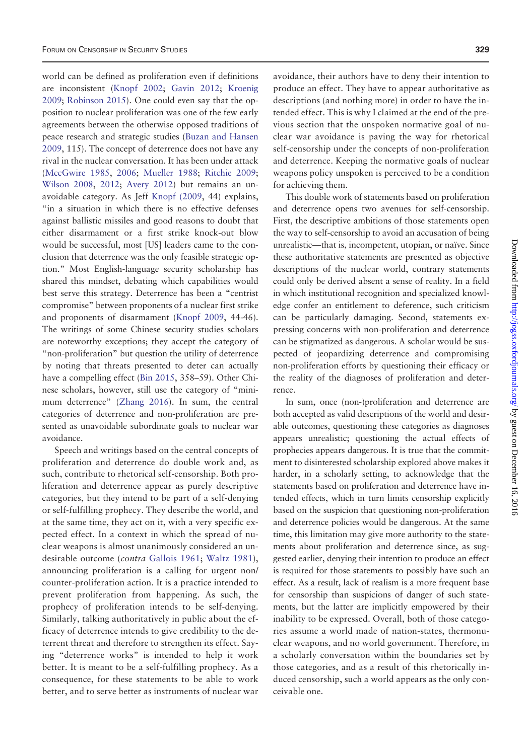world can be defined as proliferation even if definitions are inconsistent [\(Knopf 2002](#page-8-0); [Gavin 2012](#page-8-0); [Kroenig](#page-8-0) [2009;](#page-8-0) [Robinson 2015](#page-9-0)). One could even say that the opposition to nuclear proliferation was one of the few early agreements between the otherwise opposed traditions of peace research and strategic studies ([Buzan and Hansen](#page-8-0) [2009,](#page-8-0) 115). The concept of deterrence does not have any rival in the nuclear conversation. It has been under attack [\(MccGwire 1985,](#page-9-0) [2006;](#page-9-0) [Mueller 1988](#page-9-0); [Ritchie 2009;](#page-9-0) [Wilson 2008,](#page-9-0) [2012;](#page-9-0) [Avery 2012\)](#page-7-0) but remains an unavoidable category. As Jeff [Knopf \(2009](#page-8-0), 44) explains, "in a situation in which there is no effective defenses against ballistic missiles and good reasons to doubt that either disarmament or a first strike knock-out blow would be successful, most [US] leaders came to the conclusion that deterrence was the only feasible strategic option." Most English-language security scholarship has shared this mindset, debating which capabilities would best serve this strategy. Deterrence has been a "centrist compromise" between proponents of a nuclear first strike and proponents of disarmament ([Knopf 2009](#page-8-0), 44-46). The writings of some Chinese security studies scholars are noteworthy exceptions; they accept the category of "non-proliferation" but question the utility of deterrence by noting that threats presented to deter can actually have a compelling effect [\(Bin 2015,](#page-7-0) 358–59). Other Chinese scholars, however, still use the category of "minimum deterrence" ([Zhang 2016\)](#page-10-0). In sum, the central categories of deterrence and non-proliferation are presented as unavoidable subordinate goals to nuclear war avoidance.

Speech and writings based on the central concepts of proliferation and deterrence do double work and, as such, contribute to rhetorical self-censorship. Both proliferation and deterrence appear as purely descriptive categories, but they intend to be part of a self-denying or self-fulfilling prophecy. They describe the world, and at the same time, they act on it, with a very specific expected effect. In a context in which the spread of nuclear weapons is almost unanimously considered an un-desirable outcome (contra [Gallois 1961;](#page-8-0) [Waltz 1981\)](#page-9-0), announcing proliferation is a calling for urgent non/ counter-proliferation action. It is a practice intended to prevent proliferation from happening. As such, the prophecy of proliferation intends to be self-denying. Similarly, talking authoritatively in public about the efficacy of deterrence intends to give credibility to the deterrent threat and therefore to strengthen its effect. Saying "deterrence works" is intended to help it work better. It is meant to be a self-fulfilling prophecy. As a consequence, for these statements to be able to work better, and to serve better as instruments of nuclear war

avoidance, their authors have to deny their intention to produce an effect. They have to appear authoritative as descriptions (and nothing more) in order to have the intended effect. This is why I claimed at the end of the previous section that the unspoken normative goal of nuclear war avoidance is paving the way for rhetorical self-censorship under the concepts of non-proliferation and deterrence. Keeping the normative goals of nuclear weapons policy unspoken is perceived to be a condition for achieving them.

This double work of statements based on proliferation and deterrence opens two avenues for self-censorship. First, the descriptive ambitions of those statements open the way to self-censorship to avoid an accusation of being unrealistic—that is, incompetent, utopian, or naïve. Since these authoritative statements are presented as objective descriptions of the nuclear world, contrary statements could only be derived absent a sense of reality. In a field in which institutional recognition and specialized knowledge confer an entitlement to deference, such criticism can be particularly damaging. Second, statements expressing concerns with non-proliferation and deterrence can be stigmatized as dangerous. A scholar would be suspected of jeopardizing deterrence and compromising non-proliferation efforts by questioning their efficacy or the reality of the diagnoses of proliferation and deterrence.

In sum, once (non-)proliferation and deterrence are both accepted as valid descriptions of the world and desirable outcomes, questioning these categories as diagnoses appears unrealistic; questioning the actual effects of prophecies appears dangerous. It is true that the commitment to disinterested scholarship explored above makes it harder, in a scholarly setting, to acknowledge that the statements based on proliferation and deterrence have intended effects, which in turn limits censorship explicitly based on the suspicion that questioning non-proliferation and deterrence policies would be dangerous. At the same time, this limitation may give more authority to the statements about proliferation and deterrence since, as suggested earlier, denying their intention to produce an effect is required for those statements to possibly have such an effect. As a result, lack of realism is a more frequent base for censorship than suspicions of danger of such statements, but the latter are implicitly empowered by their inability to be expressed. Overall, both of those categories assume a world made of nation-states, thermonuclear weapons, and no world government. Therefore, in a scholarly conversation within the boundaries set by those categories, and as a result of this rhetorically induced censorship, such a world appears as the only conceivable one.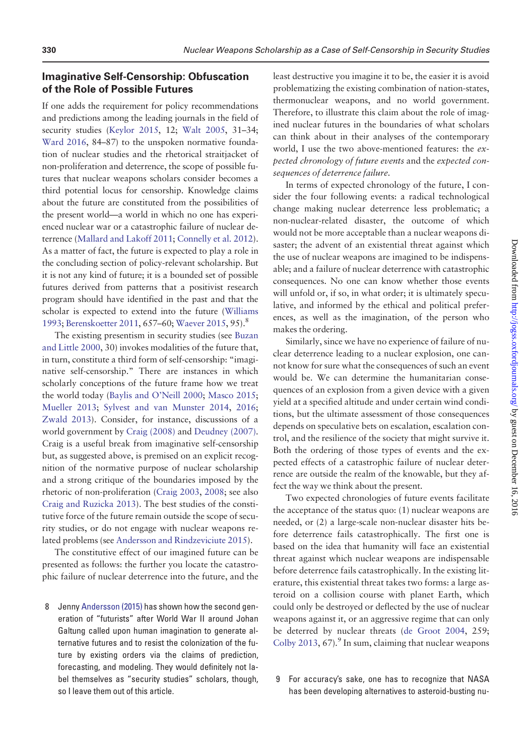#### Imaginative Self-Censorship: Obfuscation of the Role of Possible Futures

If one adds the requirement for policy recommendations and predictions among the leading journals in the field of security studies [\(Keylor 2015,](#page-8-0) 12; [Walt 2005](#page-9-0), 31–34; [Ward 2016](#page-9-0), 84–87) to the unspoken normative foundation of nuclear studies and the rhetorical straitjacket of non-proliferation and deterrence, the scope of possible futures that nuclear weapons scholars consider becomes a third potential locus for censorship. Knowledge claims about the future are constituted from the possibilities of the present world—a world in which no one has experienced nuclear war or a catastrophic failure of nuclear deterrence ([Mallard and Lakoff 2011;](#page-8-0) [Connelly et al. 2012](#page-8-0)). As a matter of fact, the future is expected to play a role in the concluding section of policy-relevant scholarship. But it is not any kind of future; it is a bounded set of possible futures derived from patterns that a positivist research program should have identified in the past and that the scholar is expected to extend into the future [\(Williams](#page-9-0) [1993;](#page-9-0) [Berenskoetter 2011,](#page-7-0) 657–60; [Waever 2015](#page-9-0), 95).<sup>8</sup>

The existing presentism in security studies (see [Buzan](#page-8-0) [and Little 2000,](#page-8-0) 30) invokes modalities of the future that, in turn, constitute a third form of self-censorship: "imaginative self-censorship." There are instances in which scholarly conceptions of the future frame how we treat the world today [\(Baylis and O'Neill 2000](#page-7-0); [Masco 2015;](#page-8-0) [Mueller 2013;](#page-9-0) [Sylvest and van Munster 2014](#page-9-0), [2016;](#page-9-0) [Zwald 2013\)](#page-10-0). Consider, for instance, discussions of a world government by [Craig \(2008\)](#page-8-0) and [Deudney \(2007\).](#page-8-0) Craig is a useful break from imaginative self-censorship but, as suggested above, is premised on an explicit recognition of the normative purpose of nuclear scholarship and a strong critique of the boundaries imposed by the rhetoric of non-proliferation ([Craig 2003](#page-8-0), [2008;](#page-8-0) see also [Craig and Ruzicka 2013\)](#page-8-0). The best studies of the constitutive force of the future remain outside the scope of security studies, or do not engage with nuclear weapons related problems (see [Andersson and Rindzeviciute 2015\)](#page-7-0).

The constitutive effect of our imagined future can be presented as follows: the further you locate the catastrophic failure of nuclear deterrence into the future, and the

8 Jenny [Andersson \(2015\)](#page-7-0) has shown how the second generation of "futurists" after World War II around Johan Galtung called upon human imagination to generate alternative futures and to resist the colonization of the future by existing orders via the claims of prediction, forecasting, and modeling. They would definitely not label themselves as "security studies" scholars, though, so I leave them out of this article.

least destructive you imagine it to be, the easier it is avoid problematizing the existing combination of nation-states, thermonuclear weapons, and no world government. Therefore, to illustrate this claim about the role of imagined nuclear futures in the boundaries of what scholars can think about in their analyses of the contemporary world, I use the two above-mentioned features: the expected chronology of future events and the expected consequences of deterrence failure.

In terms of expected chronology of the future, I consider the four following events: a radical technological change making nuclear deterrence less problematic; a non-nuclear-related disaster, the outcome of which would not be more acceptable than a nuclear weapons disaster; the advent of an existential threat against which the use of nuclear weapons are imagined to be indispensable; and a failure of nuclear deterrence with catastrophic consequences. No one can know whether those events will unfold or, if so, in what order; it is ultimately speculative, and informed by the ethical and political preferences, as well as the imagination, of the person who makes the ordering.

Similarly, since we have no experience of failure of nuclear deterrence leading to a nuclear explosion, one cannot know for sure what the consequences of such an event would be. We can determine the humanitarian consequences of an explosion from a given device with a given yield at a specified altitude and under certain wind conditions, but the ultimate assessment of those consequences depends on speculative bets on escalation, escalation control, and the resilience of the society that might survive it. Both the ordering of those types of events and the expected effects of a catastrophic failure of nuclear deterrence are outside the realm of the knowable, but they affect the way we think about the present.

Two expected chronologies of future events facilitate the acceptance of the status quo: (1) nuclear weapons are needed, or (2) a large-scale non-nuclear disaster hits before deterrence fails catastrophically. The first one is based on the idea that humanity will face an existential threat against which nuclear weapons are indispensable before deterrence fails catastrophically. In the existing literature, this existential threat takes two forms: a large asteroid on a collision course with planet Earth, which could only be destroyed or deflected by the use of nuclear weapons against it, or an aggressive regime that can only be deterred by nuclear threats ([de Groot 2004,](#page-8-0) 259; [Colby 2013,](#page-8-0) 67). $\degree$  In sum, claiming that nuclear weapons

9 For accuracy's sake, one has to recognize that NASA has been developing alternatives to asteroid-busting nu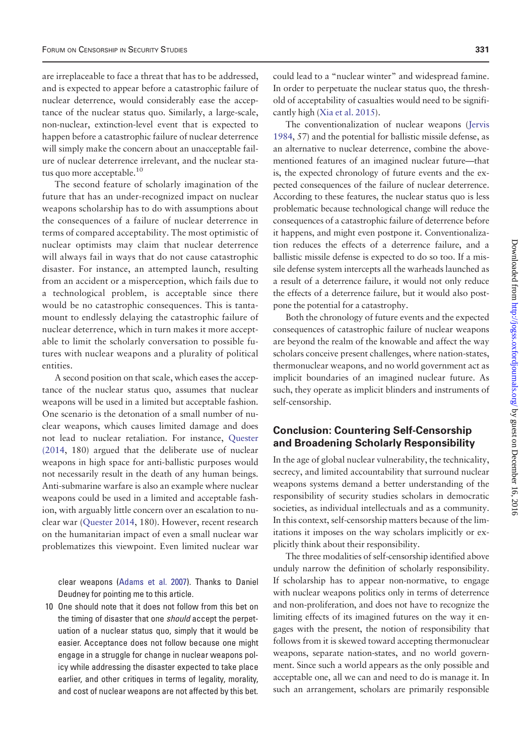are irreplaceable to face a threat that has to be addressed, and is expected to appear before a catastrophic failure of nuclear deterrence, would considerably ease the acceptance of the nuclear status quo. Similarly, a large-scale, non-nuclear, extinction-level event that is expected to happen before a catastrophic failure of nuclear deterrence will simply make the concern about an unacceptable failure of nuclear deterrence irrelevant, and the nuclear status quo more acceptable.<sup>10</sup>

The second feature of scholarly imagination of the future that has an under-recognized impact on nuclear weapons scholarship has to do with assumptions about the consequences of a failure of nuclear deterrence in terms of compared acceptability. The most optimistic of nuclear optimists may claim that nuclear deterrence will always fail in ways that do not cause catastrophic disaster. For instance, an attempted launch, resulting from an accident or a misperception, which fails due to a technological problem, is acceptable since there would be no catastrophic consequences. This is tantamount to endlessly delaying the catastrophic failure of nuclear deterrence, which in turn makes it more acceptable to limit the scholarly conversation to possible futures with nuclear weapons and a plurality of political entities.

A second position on that scale, which eases the acceptance of the nuclear status quo, assumes that nuclear weapons will be used in a limited but acceptable fashion. One scenario is the detonation of a small number of nuclear weapons, which causes limited damage and does not lead to nuclear retaliation. For instance, [Quester](#page-9-0) [\(2014,](#page-9-0) 180) argued that the deliberate use of nuclear weapons in high space for anti-ballistic purposes would not necessarily result in the death of any human beings. Anti-submarine warfare is also an example where nuclear weapons could be used in a limited and acceptable fashion, with arguably little concern over an escalation to nuclear war ([Quester 2014](#page-9-0), 180). However, recent research on the humanitarian impact of even a small nuclear war problematizes this viewpoint. Even limited nuclear war

clear weapons [\(Adams et al. 2007\)](#page-7-0). Thanks to Daniel Deudney for pointing me to this article.

10 One should note that it does not follow from this bet on the timing of disaster that one should accept the perpetuation of a nuclear status quo, simply that it would be easier. Acceptance does not follow because one might engage in a struggle for change in nuclear weapons policy while addressing the disaster expected to take place earlier, and other critiques in terms of legality, morality, and cost of nuclear weapons are not affected by this bet.

could lead to a "nuclear winter" and widespread famine. In order to perpetuate the nuclear status quo, the threshold of acceptability of casualties would need to be significantly high [\(Xia et al. 2015](#page-10-0)).

The conventionalization of nuclear weapons [\(Jervis](#page-8-0) [1984,](#page-8-0) 57) and the potential for ballistic missile defense, as an alternative to nuclear deterrence, combine the abovementioned features of an imagined nuclear future—that is, the expected chronology of future events and the expected consequences of the failure of nuclear deterrence. According to these features, the nuclear status quo is less problematic because technological change will reduce the consequences of a catastrophic failure of deterrence before it happens, and might even postpone it. Conventionalization reduces the effects of a deterrence failure, and a ballistic missile defense is expected to do so too. If a missile defense system intercepts all the warheads launched as a result of a deterrence failure, it would not only reduce the effects of a deterrence failure, but it would also postpone the potential for a catastrophy.

Both the chronology of future events and the expected consequences of catastrophic failure of nuclear weapons are beyond the realm of the knowable and affect the way scholars conceive present challenges, where nation-states, thermonuclear weapons, and no world government act as implicit boundaries of an imagined nuclear future. As such, they operate as implicit blinders and instruments of self-censorship.

### Conclusion: Countering Self-Censorship and Broadening Scholarly Responsibility

In the age of global nuclear vulnerability, the technicality, secrecy, and limited accountability that surround nuclear weapons systems demand a better understanding of the responsibility of security studies scholars in democratic societies, as individual intellectuals and as a community. In this context, self-censorship matters because of the limitations it imposes on the way scholars implicitly or explicitly think about their responsibility.

The three modalities of self-censorship identified above unduly narrow the definition of scholarly responsibility. If scholarship has to appear non-normative, to engage with nuclear weapons politics only in terms of deterrence and non-proliferation, and does not have to recognize the limiting effects of its imagined futures on the way it engages with the present, the notion of responsibility that follows from it is skewed toward accepting thermonuclear weapons, separate nation-states, and no world government. Since such a world appears as the only possible and acceptable one, all we can and need to do is manage it. In such an arrangement, scholars are primarily responsible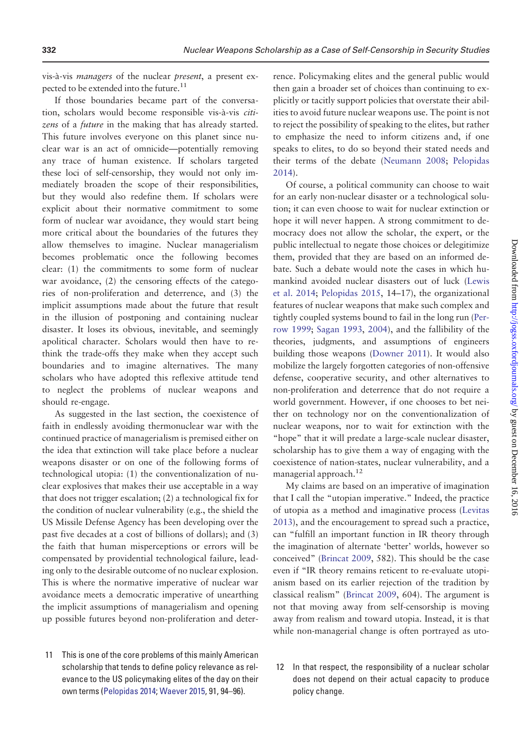vis-à-vis *managers* of the nuclear *present*, a present expected to be extended into the future.<sup>11</sup>

If those boundaries became part of the conversation, scholars would become responsible vis-à-vis citizens of a future in the making that has already started. This future involves everyone on this planet since nuclear war is an act of omnicide—potentially removing any trace of human existence. If scholars targeted these loci of self-censorship, they would not only immediately broaden the scope of their responsibilities, but they would also redefine them. If scholars were explicit about their normative commitment to some form of nuclear war avoidance, they would start being more critical about the boundaries of the futures they allow themselves to imagine. Nuclear managerialism becomes problematic once the following becomes clear: (1) the commitments to some form of nuclear war avoidance, (2) the censoring effects of the categories of non-proliferation and deterrence, and (3) the implicit assumptions made about the future that result in the illusion of postponing and containing nuclear disaster. It loses its obvious, inevitable, and seemingly apolitical character. Scholars would then have to rethink the trade-offs they make when they accept such boundaries and to imagine alternatives. The many scholars who have adopted this reflexive attitude tend to neglect the problems of nuclear weapons and should re-engage.

As suggested in the last section, the coexistence of faith in endlessly avoiding thermonuclear war with the continued practice of managerialism is premised either on the idea that extinction will take place before a nuclear weapons disaster or on one of the following forms of technological utopia: (1) the conventionalization of nuclear explosives that makes their use acceptable in a way that does not trigger escalation; (2) a technological fix for the condition of nuclear vulnerability (e.g., the shield the US Missile Defense Agency has been developing over the past five decades at a cost of billions of dollars); and (3) the faith that human misperceptions or errors will be compensated by providential technological failure, leading only to the desirable outcome of no nuclear explosion. This is where the normative imperative of nuclear war avoidance meets a democratic imperative of unearthing the implicit assumptions of managerialism and opening up possible futures beyond non-proliferation and deter-

11 This is one of the core problems of this mainly American scholarship that tends to define policy relevance as relevance to the US policymaking elites of the day on their own terms ([Pelopidas 2014](#page-9-0); [Waever 2015](#page-9-0), 91, 94–96).

rence. Policymaking elites and the general public would then gain a broader set of choices than continuing to explicitly or tacitly support policies that overstate their abilities to avoid future nuclear weapons use. The point is not to reject the possibility of speaking to the elites, but rather to emphasize the need to inform citizens and, if one speaks to elites, to do so beyond their stated needs and their terms of the debate [\(Neumann 2008;](#page-9-0) [Pelopidas](#page-9-0) [2014\)](#page-9-0).

Of course, a political community can choose to wait for an early non-nuclear disaster or a technological solution; it can even choose to wait for nuclear extinction or hope it will never happen. A strong commitment to democracy does not allow the scholar, the expert, or the public intellectual to negate those choices or delegitimize them, provided that they are based on an informed debate. Such a debate would note the cases in which humankind avoided nuclear disasters out of luck [\(Lewis](#page-8-0) [et al. 2014;](#page-8-0) [Pelopidas 2015,](#page-9-0) 14–17), the organizational features of nuclear weapons that make such complex and tightly coupled systems bound to fail in the long run ([Per](#page-9-0)[row 1999](#page-9-0); [Sagan 1993](#page-9-0), [2004](#page-9-0)), and the fallibility of the theories, judgments, and assumptions of engineers building those weapons [\(Downer 2011\)](#page-8-0). It would also mobilize the largely forgotten categories of non-offensive defense, cooperative security, and other alternatives to non-proliferation and deterrence that do not require a world government. However, if one chooses to bet neither on technology nor on the conventionalization of nuclear weapons, nor to wait for extinction with the "hope" that it will predate a large-scale nuclear disaster, scholarship has to give them a way of engaging with the coexistence of nation-states, nuclear vulnerability, and a managerial approach.<sup>12</sup>

My claims are based on an imperative of imagination that I call the "utopian imperative." Indeed, the practice of utopia as a method and imaginative process [\(Levitas](#page-8-0) [2013\)](#page-8-0), and the encouragement to spread such a practice, can "fulfill an important function in IR theory through the imagination of alternate 'better' worlds, however so conceived" [\(Brincat 2009,](#page-8-0) 582). This should be the case even if "IR theory remains reticent to re-evaluate utopianism based on its earlier rejection of the tradition by classical realism" ([Brincat 2009,](#page-8-0) 604). The argument is not that moving away from self-censorship is moving away from realism and toward utopia. Instead, it is that while non-managerial change is often portrayed as uto-

12 In that respect, the responsibility of a nuclear scholar does not depend on their actual capacity to produce policy change.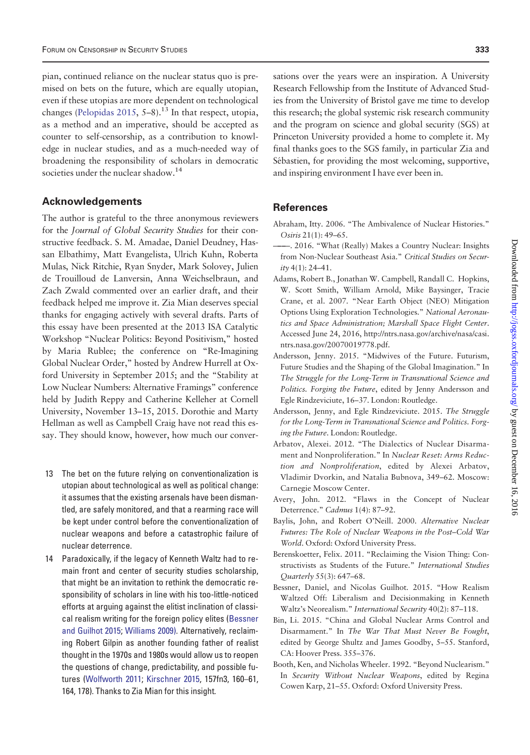<span id="page-7-0"></span>pian, continued reliance on the nuclear status quo is premised on bets on the future, which are equally utopian, even if these utopias are more dependent on technological changes [\(Pelopidas 2015,](#page-9-0) 5–8).<sup>13</sup> In that respect, utopia, as a method and an imperative, should be accepted as counter to self-censorship, as a contribution to knowledge in nuclear studies, and as a much-needed way of broadening the responsibility of scholars in democratic societies under the nuclear shadow.<sup>14</sup>

#### Acknowledgements

The author is grateful to the three anonymous reviewers for the Journal of Global Security Studies for their constructive feedback. S. M. Amadae, Daniel Deudney, Hassan Elbathimy, Matt Evangelista, Ulrich Kuhn, Roberta Mulas, Nick Ritchie, Ryan Snyder, Mark Solovey, Julien de Trouilloud de Lanversin, Anna Weichselbraun, and Zach Zwald commented over an earlier draft, and their feedback helped me improve it. Zia Mian deserves special thanks for engaging actively with several drafts. Parts of this essay have been presented at the 2013 ISA Catalytic Workshop "Nuclear Politics: Beyond Positivism," hosted by Maria Rublee; the conference on "Re-Imagining Global Nuclear Order," hosted by Andrew Hurrell at Oxford University in September 2015; and the "Stability at Low Nuclear Numbers: Alternative Framings" conference held by Judith Reppy and Catherine Kelleher at Cornell University, November 13–15, 2015. Dorothie and Marty Hellman as well as Campbell Craig have not read this essay. They should know, however, how much our conver-

- 13 The bet on the future relying on conventionalization is utopian about technological as well as political change: it assumes that the existing arsenals have been dismantled, are safely monitored, and that a rearming race will be kept under control before the conventionalization of nuclear weapons and before a catastrophic failure of nuclear deterrence.
- 14 Paradoxically, if the legacy of Kenneth Waltz had to remain front and center of security studies scholarship, that might be an invitation to rethink the democratic responsibility of scholars in line with his too-little-noticed efforts at arguing against the elitist inclination of classical realism writing for the foreign policy elites (Bessner and Guilhot 2015; [Williams 2009\).](#page-9-0) Alternatively, reclaiming Robert Gilpin as another founding father of realist thought in the 1970s and 1980s would allow us to reopen the questions of change, predictability, and possible futures ([Wolfworth 2011;](#page-9-0) [Kirschner 2015](#page-8-0), 157fn3, 160–61, 164, 178). Thanks to Zia Mian for this insight.

sations over the years were an inspiration. A University Research Fellowship from the Institute of Advanced Studies from the University of Bristol gave me time to develop this research; the global systemic risk research community and the program on science and global security (SGS) at Princeton University provided a home to complete it. My final thanks goes to the SGS family, in particular Zia and Sébastien, for providing the most welcoming, supportive, and inspiring environment I have ever been in.

#### **References**

- Abraham, Itty. 2006. "The Ambivalence of Nuclear Histories." Osiris 21(1): 49–65.
- ———. 2016. "What (Really) Makes a Country Nuclear: Insights from Non-Nuclear Southeast Asia." Critical Studies on Secur $ity 4(1): 24-41.$
- Adams, Robert B., Jonathan W. Campbell, Randall C. Hopkins, W. Scott Smith, William Arnold, Mike Baysinger, Tracie Crane, et al. 2007. "Near Earth Object (NEO) Mitigation Options Using Exploration Technologies." National Aeronautics and Space Administration; Marshall Space Flight Center. Accessed June 24, 2016, [http://ntrs.nasa.gov/archive/nasa/casi.](http://ntrs.nasa.gov/archive/nasa/casi.ntrs.nasa.gov/20070019778.pdf) [ntrs.nasa.gov/20070019778.pdf.](http://ntrs.nasa.gov/archive/nasa/casi.ntrs.nasa.gov/20070019778.pdf)
- Andersson, Jenny. 2015. "Midwives of the Future. Futurism, Future Studies and the Shaping of the Global Imagination." In The Struggle for the Long-Term in Transnational Science and Politics. Forging the Future, edited by Jenny Andersson and Egle Rindzeviciute, 16–37. London: Routledge.
- Andersson, Jenny, and Egle Rindzeviciute. 2015. The Struggle for the Long-Term in Transnational Science and Politics. Forging the Future. London: Routledge.
- Arbatov, Alexei. 2012. "The Dialectics of Nuclear Disarmament and Nonproliferation." In Nuclear Reset: Arms Reduction and Nonproliferation, edited by Alexei Arbatov, Vladimir Dvorkin, and Natalia Bubnova, 349–62. Moscow: Carnegie Moscow Center.
- Avery, John. 2012. "Flaws in the Concept of Nuclear Deterrence." Cadmus 1(4): 87–92.
- Baylis, John, and Robert O'Neill. 2000. Alternative Nuclear Futures: The Role of Nuclear Weapons in the Post–Cold War World. Oxford: Oxford University Press.
- Berenskoetter, Felix. 2011. "Reclaiming the Vision Thing: Constructivists as Students of the Future." International Studies Quarterly 55(3): 647–68.
- Bessner, Daniel, and Nicolas Guilhot. 2015. "How Realism Waltzed Off: Liberalism and Decisionmaking in Kenneth Waltz's Neorealism." International Security 40(2): 87–118.
- Bin, Li. 2015. "China and Global Nuclear Arms Control and Disarmament." In The War That Must Never Be Fought, edited by George Shultz and James Goodby, 5–55. Stanford, CA: Hoover Press. 355–376.
- Booth, Ken, and Nicholas Wheeler. 1992. "Beyond Nuclearism." In Security Without Nuclear Weapons, edited by Regina Cowen Karp, 21–55. Oxford: Oxford University Press.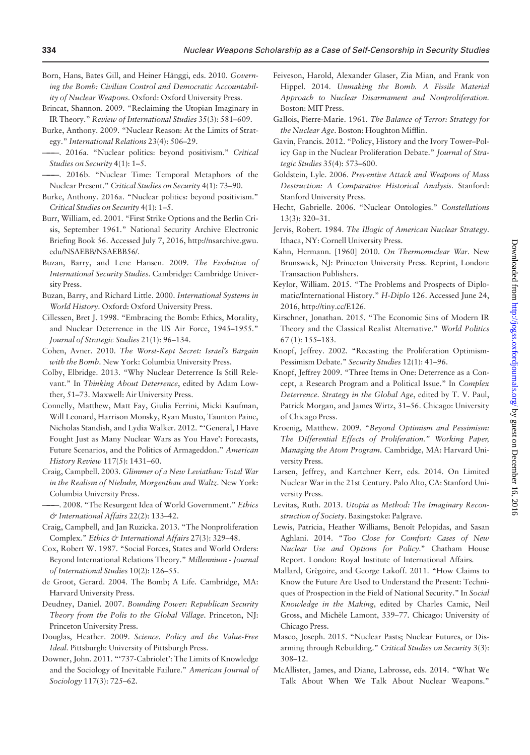<span id="page-8-0"></span>Born, Hans, Bates Gill, and Heiner Hânggi, eds. 2010. Governing the Bomb: Civilian Control and Democratic Accountability of Nuclear Weapons. Oxford: Oxford University Press.

- Brincat, Shannon. 2009. "Reclaiming the Utopian Imaginary in IR Theory." Review of International Studies 35(3): 581–609.
- Burke, Anthony. 2009. "Nuclear Reason: At the Limits of Strategy." International Relations 23(4): 506–29.
- -. 2016a. "Nuclear politics: beyond positivism." Critical Studies on Security 4(1): 1–5.
- ———. 2016b. "Nuclear Time: Temporal Metaphors of the Nuclear Present." Critical Studies on Security 4(1): 73–90.
- Burke, Anthony. 2016a. "Nuclear politics: beyond positivism." Critical Studies on Security 4(1): 1–5.
- Burr, William, ed. 2001. "First Strike Options and the Berlin Crisis, September 1961." National Security Archive Electronic Briefing Book 56. Accessed July 7, 2016, [http://nsarchive.gwu.](http://nsarchive.gwu.edu/NSAEBB/NSAEBB56/) [edu/NSAEBB/NSAEBB56/](http://nsarchive.gwu.edu/NSAEBB/NSAEBB56/).
- Buzan, Barry, and Lene Hansen. 2009. The Evolution of International Security Studies. Cambridge: Cambridge University Press.
- Buzan, Barry, and Richard Little. 2000. International Systems in World History. Oxford: Oxford University Press.
- Cillessen, Bret J. 1998. "Embracing the Bomb: Ethics, Morality, and Nuclear Deterrence in the US Air Force, 1945–1955." Journal of Strategic Studies 21(1): 96–134.
- Cohen, Avner. 2010. The Worst-Kept Secret: Israel's Bargain with the Bomb. New York: Columbia University Press.
- Colby, Elbridge. 2013. "Why Nuclear Deterrence Is Still Relevant." In Thinking About Deterrence, edited by Adam Lowther, 51–73. Maxwell: Air University Press.
- Connelly, Matthew, Matt Fay, Giulia Ferrini, Micki Kaufman, Will Leonard, Harrison Monsky, Ryan Musto, Taunton Paine, Nicholas Standish, and Lydia Walker. 2012. "'General, I Have Fought Just as Many Nuclear Wars as You Have': Forecasts, Future Scenarios, and the Politics of Armageddon." American History Review 117(5): 1431–60.
- Craig, Campbell. 2003. Glimmer of a New Leviathan: Total War in the Realism of Niebuhr, Morgenthau and Waltz. New York: Columbia University Press.
- -. 2008. "The Resurgent Idea of World Government." Ethics & International Affairs 22(2): 133–42.
- Craig, Campbell, and Jan Ruzicka. 2013. "The Nonproliferation Complex." Ethics & International Affairs 27(3): 329–48.
- Cox, Robert W. 1987. "Social Forces, States and World Orders: Beyond International Relations Theory." Millennium - Journal of International Studies 10(2): 126–55.
- de Groot, Gerard. 2004. The Bomb; A Life. Cambridge, MA: Harvard University Press.
- Deudney, Daniel. 2007. Bounding Power: Republican Security Theory from the Polis to the Global Village. Princeton, NJ: Princeton University Press.
- Douglas, Heather. 2009. Science, Policy and the Value-Free Ideal. Pittsburgh: University of Pittsburgh Press.
- Downer, John. 2011. "'737-Cabriolet': The Limits of Knowledge and the Sociology of Inevitable Failure." American Journal of Sociology 117(3): 725–62.
- Feiveson, Harold, Alexander Glaser, Zia Mian, and Frank von Hippel. 2014. Unmaking the Bomb. A Fissile Material Approach to Nuclear Disarmament and Nonproliferation. Boston: MIT Press.
- Gallois, Pierre-Marie. 1961. The Balance of Terror: Strategy for the Nuclear Age. Boston: Houghton Mifflin.
- Gavin, Francis. 2012. "Policy, History and the Ivory Tower–Policy Gap in the Nuclear Proliferation Debate." Journal of Strategic Studies 35(4): 573–600.
- Goldstein, Lyle. 2006. Preventive Attack and Weapons of Mass Destruction: A Comparative Historical Analysis. Stanford: Stanford University Press.
- Hecht, Gabrielle. 2006. "Nuclear Ontologies." Constellations 13(3): 320–31.
- Jervis, Robert. 1984. The Illogic of American Nuclear Strategy. Ithaca, NY: Cornell University Press.
- Kahn, Hermann. [1960] 2010. On Thermonuclear War. New Brunswick, NJ: Princeton University Press. Reprint, London: Transaction Publishers.
- Keylor, William. 2015. "The Problems and Prospects of Diplomatic/International History." H-Diplo 126. Accessed June 24, 2016, [http://tiny.cc/E126.](http://tiny.cc/E126)
- Kirschner, Jonathan. 2015. "The Economic Sins of Modern IR Theory and the Classical Realist Alternative." World Politics 67 (1): 155–183.
- Knopf, Jeffrey. 2002. "Recasting the Proliferation Optimism-Pessimism Debate." Security Studies 12(1): 41–96.
- Knopf, Jeffrey 2009. "Three Items in One: Deterrence as a Concept, a Research Program and a Political Issue." In Complex Deterrence. Strategy in the Global Age, edited by T. V. Paul, Patrick Morgan, and James Wirtz, 31–56. Chicago: University of Chicago Press.
- Kroenig, Matthew. 2009. "Beyond Optimism and Pessimism: The Differential Effects of Proliferation." Working Paper, Managing the Atom Program. Cambridge, MA: Harvard University Press.
- Larsen, Jeffrey, and Kartchner Kerr, eds. 2014. On Limited Nuclear War in the 21st Century. Palo Alto, CA: Stanford University Press.
- Levitas, Ruth. 2013. Utopia as Method: The Imaginary Reconstruction of Society. Basingstoke: Palgrave.
- Lewis, Patricia, Heather Williams, Benoît Pelopidas, and Sasan Aghlani. 2014. "Too Close for Comfort: Cases of New Nuclear Use and Options for Policy." Chatham House Report. London: Royal Institute of International Affairs.
- Mallard, Grégoire, and George Lakoff. 2011. "How Claims to Know the Future Are Used to Understand the Present: Techniques of Prospection in the Field of National Security." In Social Knowledge in the Making, edited by Charles Camic, Neil Gross, and Michèle Lamont, 339-77. Chicago: University of Chicago Press.
- Masco, Joseph. 2015. "Nuclear Pasts; Nuclear Futures, or Disarming through Rebuilding." Critical Studies on Security 3(3): 308–12.
- McAllister, James, and Diane, Labrosse, eds. 2014. "What We Talk About When We Talk About Nuclear Weapons."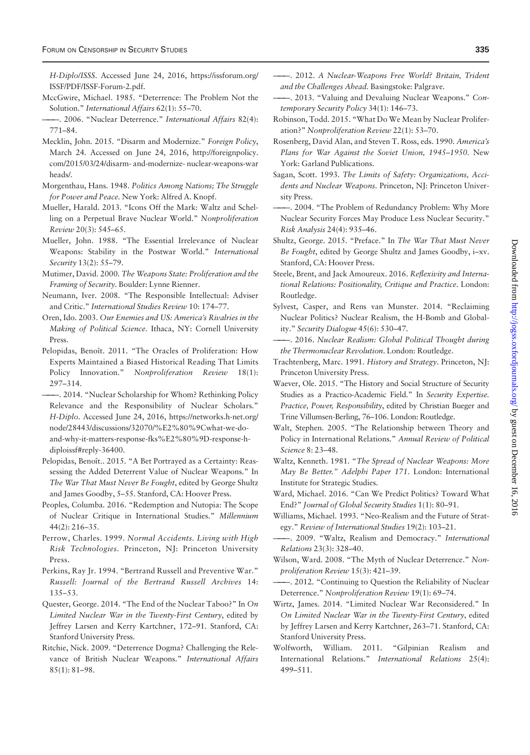<span id="page-9-0"></span>H-Diplo/ISSS. Accessed June 24, 2016, [https://issforum.org/](https://issforum.org/ISSF/PDF/ISSF-Forum-2.pdf) [ISSF/PDF/ISSF-Forum-2.pdf](https://issforum.org/ISSF/PDF/ISSF-Forum-2.pdf).

- MccGwire, Michael. 1985. "Deterrence: The Problem Not the Solution." International Affairs 62(1): 55–70.
- -. 2006. "Nuclear Deterrence." International Affairs 82(4): 771–84.
- Mecklin, John. 2015. "Disarm and Modernize." Foreign Policy, March 24. Accessed on June 24, 2016, [http://foreignpolicy.](http://foreignpolicy.com/2015/03/24/disarm- and-modernize- nuclear-weaponswarheads/) [com/2015/03/24/disarm- and-modernize- nuclear-weapons-war](http://foreignpolicy.com/2015/03/24/disarm- and-modernize- nuclear-weaponswarheads/) [heads/](http://foreignpolicy.com/2015/03/24/disarm- and-modernize- nuclear-weaponswarheads/).
- Morgenthau, Hans. 1948. Politics Among Nations; The Struggle for Power and Peace. New York: Alfred A. Knopf.
- Mueller, Harald. 2013. "Icons Off the Mark: Waltz and Schelling on a Perpetual Brave Nuclear World." Nonproliferation Review 20(3): 545–65.
- Mueller, John. 1988. "The Essential Irrelevance of Nuclear Weapons: Stability in the Postwar World." International Security 13(2): 55–79.
- Mutimer, David. 2000. The Weapons State: Proliferation and the Framing of Security. Boulder: Lynne Rienner.
- Neumann, Iver. 2008. "The Responsible Intellectual: Adviser and Critic." International Studies Review 10: 174–77.
- Oren, Ido. 2003. Our Enemies and US: America's Rivalries in the Making of Political Science. Ithaca, NY: Cornell University Press.
- Pelopidas, Benoît. 2011. "The Oracles of Proliferation: How Experts Maintained a Biased Historical Reading That Limits Policy Innovation." Nonproliferation Review 18(1): 297–314.
- ———. 2014. "Nuclear Scholarship for Whom? Rethinking Policy Relevance and the Responsibility of Nuclear Scholars." H-Diplo. Accessed June 24, 2016, [https://networks.h-net.org/](https://networks.h-net.org/node/28443/discussions/32070/%E2%80%9Cwhat-we-do-and-why-it-matters-response-fks%E2%80%9D-response-h-diploissf#reply-36400) [node/28443/discussions/32070/](https://networks.h-net.org/node/28443/discussions/32070/%E2%80%9Cwhat-we-do-and-why-it-matters-response-fks%E2%80%9D-response-h-diploissf#reply-36400)%[E2%80](https://networks.h-net.org/node/28443/discussions/32070/%E2%80%9Cwhat-we-do-and-why-it-matters-response-fks%E2%80%9D-response-h-diploissf#reply-36400)%[9Cwhat-we-do](https://networks.h-net.org/node/28443/discussions/32070/%E2%80%9Cwhat-we-do-and-why-it-matters-response-fks%E2%80%9D-response-h-diploissf#reply-36400)[and-why-it-matters-response-fks](https://networks.h-net.org/node/28443/discussions/32070/%E2%80%9Cwhat-we-do-and-why-it-matters-response-fks%E2%80%9D-response-h-diploissf#reply-36400)%[E2%80](https://networks.h-net.org/node/28443/discussions/32070/%E2%80%9Cwhat-we-do-and-why-it-matters-response-fks%E2%80%9D-response-h-diploissf#reply-36400)%[9D-response-h](https://networks.h-net.org/node/28443/discussions/32070/%E2%80%9Cwhat-we-do-and-why-it-matters-response-fks%E2%80%9D-response-h-diploissf#reply-36400)[diploissf#reply-36400](https://networks.h-net.org/node/28443/discussions/32070/%E2%80%9Cwhat-we-do-and-why-it-matters-response-fks%E2%80%9D-response-h-diploissf#reply-36400).
- Pelopidas, Benoît.. 2015. "A Bet Portrayed as a Certainty: Reassessing the Added Deterrent Value of Nuclear Weapons." In The War That Must Never Be Fought, edited by George Shultz and James Goodby, 5–55. Stanford, CA: Hoover Press.
- Peoples, Columba. 2016. "Redemption and Nutopia: The Scope of Nuclear Critique in International Studies." Millennium 44(2): 216–35.
- Perrow, Charles. 1999. Normal Accidents. Living with High Risk Technologies. Princeton, NJ: Princeton University Press.
- Perkins, Ray Jr. 1994. "Bertrand Russell and Preventive War." Russell: Journal of the Bertrand Russell Archives 14: 135–53.
- Quester, George. 2014. "The End of the Nuclear Taboo?" In On Limited Nuclear War in the Twenty-First Century, edited by Jeffrey Larsen and Kerry Kartchner, 172–91. Stanford, CA: Stanford University Press.
- Ritchie, Nick. 2009. "Deterrence Dogma? Challenging the Relevance of British Nuclear Weapons." International Affairs 85(1): 81–98.
- ———. 2012. A Nuclear-Weapons Free World? Britain, Trident and the Challenges Ahead. Basingstoke: Palgrave.
- ———. 2013. "Valuing and Devaluing Nuclear Weapons." Contemporary Security Policy 34(1): 146–73.
- Robinson, Todd. 2015. "What Do We Mean by Nuclear Proliferation?" Nonproliferation Review 22(1): 53–70.
- Rosenberg, David Alan, and Steven T. Ross, eds. 1990. America's Plans for War Against the Soviet Union, 1945–1950. New York: Garland Publications.
- Sagan, Scott. 1993. The Limits of Safety: Organizations, Accidents and Nuclear Weapons. Princeton, NJ: Princeton University Press.
- ———. 2004. "The Problem of Redundancy Problem: Why More Nuclear Security Forces May Produce Less Nuclear Security." Risk Analysis 24(4): 935–46.
- Shultz, George. 2015. "Preface." In The War That Must Never Be Fought, edited by George Shultz and James Goodby, i–xv. Stanford, CA: Hoover Press.
- Steele, Brent, and Jack Amoureux. 2016. Reflexivity and International Relations: Positionality, Critique and Practice. London: Routledge.
- Sylvest, Casper, and Rens van Munster. 2014. "Reclaiming Nuclear Politics? Nuclear Realism, the H-Bomb and Globality." Security Dialogue 45(6): 530–47.
- ———. 2016. Nuclear Realism: Global Political Thought during the Thermonuclear Revolution. London: Routledge.
- Trachtenberg, Marc. 1991. History and Strategy. Princeton, NJ: Princeton University Press.
- Waever, Ole. 2015. "The History and Social Structure of Security Studies as a Practico-Academic Field." In Security Expertise. Practice, Power, Responsibility, edited by Christian Bueger and Trine Villumsen-Berling, 76–106. London: Routledge.
- Walt, Stephen. 2005. "The Relationship between Theory and Policy in International Relations." Annual Review of Political Science 8: 23–48.
- Waltz, Kenneth. 1981. "The Spread of Nuclear Weapons: More May Be Better." Adelphi Paper 171. London: International Institute for Strategic Studies.
- Ward, Michael. 2016. "Can We Predict Politics? Toward What End?" Journal of Global Security Studies 1(1): 80–91.
- Williams, Michael. 1993. "Neo-Realism and the Future of Strategy." Review of International Studies 19(2): 103–21.
- ———. 2009. "Waltz, Realism and Democracy." International Relations 23(3): 328–40.
- Wilson, Ward. 2008. "The Myth of Nuclear Deterrence." Nonproliferation Review 15(3): 421–39.
- ———. 2012. "Continuing to Question the Reliability of Nuclear Deterrence." Nonproliferation Review 19(1): 69–74.
- Wirtz, James. 2014. "Limited Nuclear War Reconsidered." In On Limited Nuclear War in the Twenty-First Century, edited by Jeffrey Larsen and Kerry Kartchner, 263–71. Stanford, CA: Stanford University Press.
- Wolfworth, William. 2011. "Gilpinian Realism and International Relations." International Relations 25(4): 499–511.